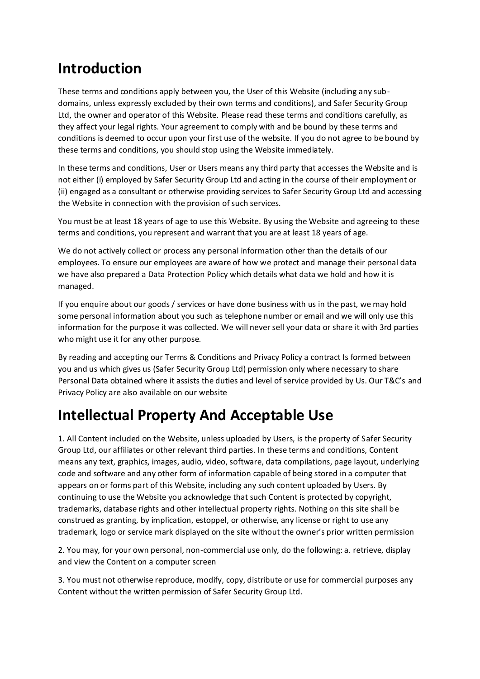### **Introduction**

These terms and conditions apply between you, the User of this Website (including any subdomains, unless expressly excluded by their own terms and conditions), and Safer Security Group Ltd, the owner and operator of this Website. Please read these terms and conditions carefully, as they affect your legal rights. Your agreement to comply with and be bound by these terms and conditions is deemed to occur upon your first use of the website. If you do not agree to be bound by these terms and conditions, you should stop using the Website immediately.

In these terms and conditions, User or Users means any third party that accesses the Website and is not either (i) employed by Safer Security Group Ltd and acting in the course of their employment or (ii) engaged as a consultant or otherwise providing services to Safer Security Group Ltd and accessing the Website in connection with the provision of such services.

You must be at least 18 years of age to use this Website. By using the Website and agreeing to these terms and conditions, you represent and warrant that you are at least 18 years of age.

We do not actively collect or process any personal information other than the details of our employees. To ensure our employees are aware of how we protect and manage their personal data we have also prepared a Data Protection Policy which details what data we hold and how it is managed.

If you enquire about our goods / services or have done business with us in the past, we may hold some personal information about you such as telephone number or email and we will only use this information for the purpose it was collected. We will never sell your data or share it with 3rd parties who might use it for any other purpose.

By reading and accepting our Terms & Conditions and Privacy Policy a contract Is formed between you and us which gives us (Safer Security Group Ltd) permission only where necessary to share Personal Data obtained where it assists the duties and level of service provided by Us. Our T&C's and Privacy Policy are also available on our website

## **Intellectual Property And Acceptable Use**

1. All Content included on the Website, unless uploaded by Users, is the property of Safer Security Group Ltd, our affiliates or other relevant third parties. In these terms and conditions, Content means any text, graphics, images, audio, video, software, data compilations, page layout, underlying code and software and any other form of information capable of being stored in a computer that appears on or forms part of this Website, including any such content uploaded by Users. By continuing to use the Website you acknowledge that such Content is protected by copyright, trademarks, database rights and other intellectual property rights. Nothing on this site shall be construed as granting, by implication, estoppel, or otherwise, any license or right to use any trademark, logo or service mark displayed on the site without the owner's prior written permission

2. You may, for your own personal, non-commercial use only, do the following: a. retrieve, display and view the Content on a computer screen

3. You must not otherwise reproduce, modify, copy, distribute or use for commercial purposes any Content without the written permission of Safer Security Group Ltd.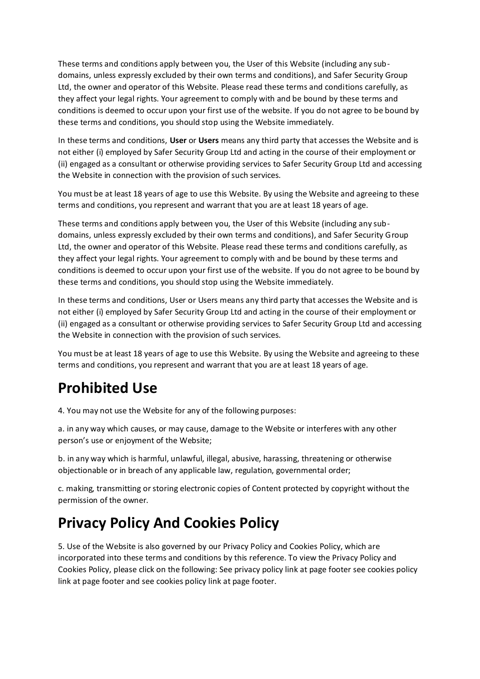These terms and conditions apply between you, the User of this Website (including any subdomains, unless expressly excluded by their own terms and conditions), and Safer Security Group Ltd, the owner and operator of this Website. Please read these terms and conditions carefully, as they affect your legal rights. Your agreement to comply with and be bound by these terms and conditions is deemed to occur upon your first use of the website. If you do not agree to be bound by these terms and conditions, you should stop using the Website immediately.

In these terms and conditions, **User** or **Users** means any third party that accesses the Website and is not either (i) employed by Safer Security Group Ltd and acting in the course of their employment or (ii) engaged as a consultant or otherwise providing services to Safer Security Group Ltd and accessing the Website in connection with the provision of such services.

You must be at least 18 years of age to use this Website. By using the Website and agreeing to these terms and conditions, you represent and warrant that you are at least 18 years of age.

These terms and conditions apply between you, the User of this Website (including any subdomains, unless expressly excluded by their own terms and conditions), and Safer Security Group Ltd, the owner and operator of this Website. Please read these terms and conditions carefully, as they affect your legal rights. Your agreement to comply with and be bound by these terms and conditions is deemed to occur upon your first use of the website. If you do not agree to be bound by these terms and conditions, you should stop using the Website immediately.

In these terms and conditions, User or Users means any third party that accesses the Website and is not either (i) employed by Safer Security Group Ltd and acting in the course of their employment or (ii) engaged as a consultant or otherwise providing services to Safer Security Group Ltd and accessing the Website in connection with the provision of such services.

You must be at least 18 years of age to use this Website. By using the Website and agreeing to these terms and conditions, you represent and warrant that you are at least 18 years of age.

#### **Prohibited Use**

4. You may not use the Website for any of the following purposes:

a. in any way which causes, or may cause, damage to the Website or interferes with any other person's use or enjoyment of the Website;

b. in any way which is harmful, unlawful, illegal, abusive, harassing, threatening or otherwise objectionable or in breach of any applicable law, regulation, governmental order;

c. making, transmitting or storing electronic copies of Content protected by copyright without the permission of the owner.

#### **Privacy Policy And Cookies Policy**

5. Use of the Website is also governed by our Privacy Policy and Cookies Policy, which are incorporated into these terms and conditions by this reference. To view the Privacy Policy and Cookies Policy, please click on the following: See privacy policy link at page footer see cookies policy link at page footer and see cookies policy link at page footer.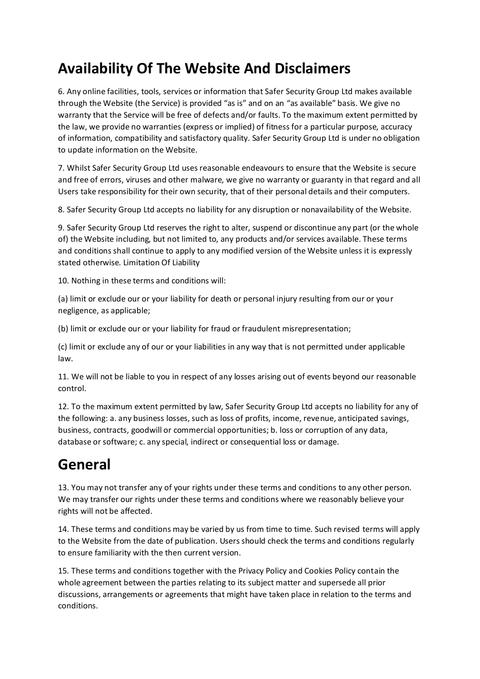# **Availability Of The Website And Disclaimers**

6. Any online facilities, tools, services or information that Safer Security Group Ltd makes available through the Website (the Service) is provided "as is" and on an "as available" basis. We give no warranty that the Service will be free of defects and/or faults. To the maximum extent permitted by the law, we provide no warranties (express or implied) of fitness for a particular purpose, accuracy of information, compatibility and satisfactory quality. Safer Security Group Ltd is under no obligation to update information on the Website.

7. Whilst Safer Security Group Ltd uses reasonable endeavours to ensure that the Website is secure and free of errors, viruses and other malware, we give no warranty or guaranty in that regard and all Users take responsibility for their own security, that of their personal details and their computers.

8. Safer Security Group Ltd accepts no liability for any disruption or nonavailability of the Website.

9. Safer Security Group Ltd reserves the right to alter, suspend or discontinue any part (or the whole of) the Website including, but not limited to, any products and/or services available. These terms and conditions shall continue to apply to any modified version of the Website unless it is expressly stated otherwise. Limitation Of Liability

10. Nothing in these terms and conditions will:

(a) limit or exclude our or your liability for death or personal injury resulting from our or your negligence, as applicable;

(b) limit or exclude our or your liability for fraud or fraudulent misrepresentation;

(c) limit or exclude any of our or your liabilities in any way that is not permitted under applicable law.

11. We will not be liable to you in respect of any losses arising out of events beyond our reasonable control.

12. To the maximum extent permitted by law, Safer Security Group Ltd accepts no liability for any of the following: a. any business losses, such as loss of profits, income, revenue, anticipated savings, business, contracts, goodwill or commercial opportunities; b. loss or corruption of any data, database or software; c. any special, indirect or consequential loss or damage.

## **General**

13. You may not transfer any of your rights under these terms and conditions to any other person. We may transfer our rights under these terms and conditions where we reasonably believe your rights will not be affected.

14. These terms and conditions may be varied by us from time to time. Such revised terms will apply to the Website from the date of publication. Users should check the terms and conditions regularly to ensure familiarity with the then current version.

15. These terms and conditions together with the Privacy Policy and Cookies Policy contain the whole agreement between the parties relating to its subject matter and supersede all prior discussions, arrangements or agreements that might have taken place in relation to the terms and conditions.